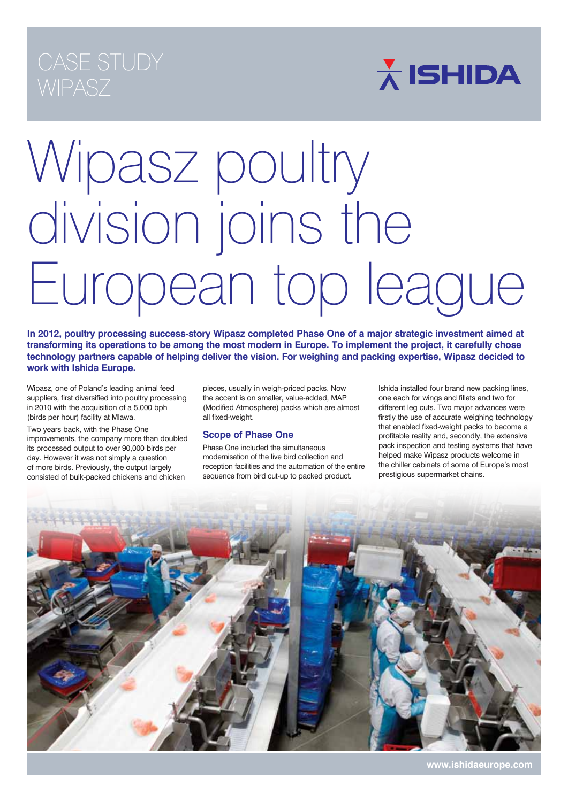## **WIPASZ**

 $\overline{\mathbf{\lambda}}$  ISHIDA

# Wipasz poultry division joins the European top league

**In 2012, poultry processing success-story Wipasz completed Phase One of a major strategic investment aimed at transforming its operations to be among the most modern in Europe. To implement the project, it carefully chose technology partners capable of helping deliver the vision. For weighing and packing expertise, Wipasz decided to work with Ishida Europe.**

Wipasz, one of Poland's leading animal feed suppliers, first diversified into poultry processing in 2010 with the acquisition of a 5,000 bph (birds per hour) facility at Mlawa.

Two years back, with the Phase One improvements, the company more than doubled its processed output to over 90,000 birds per day. However it was not simply a question of more birds. Previously, the output largely consisted of bulk-packed chickens and chicken

pieces, usually in weigh-priced packs. Now the accent is on smaller, value-added, MAP (Modified Atmosphere) packs which are almost all fixed-weight.

## **Scope of Phase One**

Phase One included the simultaneous modernisation of the live bird collection and reception facilities and the automation of the entire sequence from bird cut-up to packed product.

Ishida installed four brand new packing lines, one each for wings and fillets and two for different leg cuts. Two major advances were firstly the use of accurate weighing technology that enabled fixed-weight packs to become a profitable reality and, secondly, the extensive pack inspection and testing systems that have helped make Wipasz products welcome in the chiller cabinets of some of Europe's most prestigious supermarket chains.



**www.ishidaeurope.com**